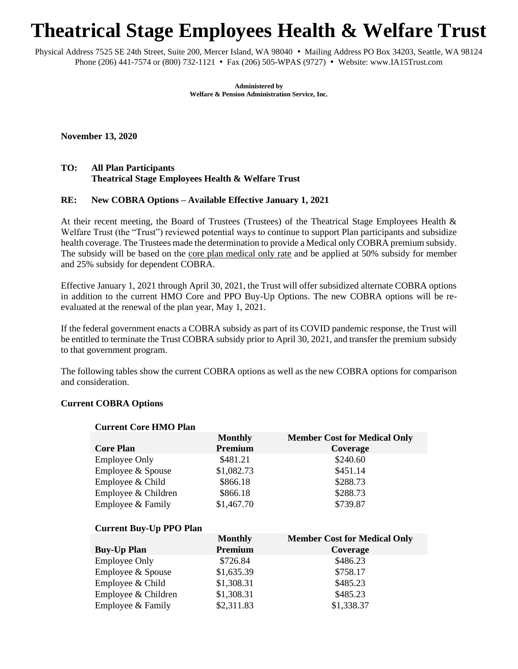# **Theatrical Stage Employees Health & Welfare Trust**

Physical Address 7525 SE 24th Street, Suite 200, Mercer Island, WA 98040 • Mailing Address PO Box 34203, Seattle, WA 98124 Phone (206) 441-7574 or (800) 732-1121 • Fax (206) 505-WPAS (9727) • Website: www.IA15Trust.com

> **Administered by Welfare & Pension Administration Service, Inc.**

**November 13, 2020**

## **TO: All Plan Participants Theatrical Stage Employees Health & Welfare Trust**

### **RE: New COBRA Options – Available Effective January 1, 2021**

At their recent meeting, the Board of Trustees (Trustees) of the Theatrical Stage Employees Health & Welfare Trust (the "Trust") reviewed potential ways to continue to support Plan participants and subsidize health coverage. The Trustees made the determination to provide a Medical only COBRA premium subsidy. The subsidy will be based on the core plan medical only rate and be applied at 50% subsidy for member and 25% subsidy for dependent COBRA.

Effective January 1, 2021 through April 30, 2021, the Trust will offer subsidized alternate COBRA options in addition to the current HMO Core and PPO Buy-Up Options. The new COBRA options will be reevaluated at the renewal of the plan year, May 1, 2021.

If the federal government enacts a COBRA subsidy as part of its COVID pandemic response, the Trust will be entitled to terminate the Trust COBRA subsidy prior to April 30, 2021, and transfer the premium subsidy to that government program.

The following tables show the current COBRA options as well as the new COBRA options for comparison and consideration.

#### **Current COBRA Options**

| <b>Core Plan</b>     | <b>Monthly</b><br>Premium | <b>Member Cost for Medical Only</b><br>Coverage |
|----------------------|---------------------------|-------------------------------------------------|
| <b>Employee Only</b> | \$481.21                  | \$240.60                                        |
| Employee & Spouse    | \$1,082.73                | \$451.14                                        |
| Employee $&$ Child   | \$866.18                  | \$288.73                                        |
| Employee & Children  | \$866.18                  | \$288.73                                        |
| Employee & Family    | \$1,467.70                | \$739.87                                        |

#### **Current Core HMO Plan**

#### **Current Buy-Up PPO Plan**

|                      | <b>Monthly</b> | <b>Member Cost for Medical Only</b> |
|----------------------|----------------|-------------------------------------|
| <b>Buy-Up Plan</b>   | Premium        | Coverage                            |
| <b>Employee Only</b> | \$726.84       | \$486.23                            |
| Employee & Spouse    | \$1,635.39     | \$758.17                            |
| Employee & Child     | \$1,308.31     | \$485.23                            |
| Employee & Children  | \$1,308.31     | \$485.23                            |
| Employee & Family    | \$2,311.83     | \$1,338.37                          |